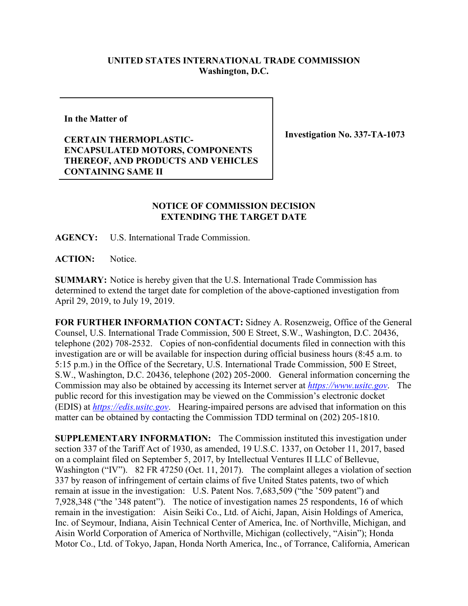## **UNITED STATES INTERNATIONAL TRADE COMMISSION Washington, D.C.**

**In the Matter of**

## **CERTAIN THERMOPLASTIC-ENCAPSULATED MOTORS, COMPONENTS THEREOF, AND PRODUCTS AND VEHICLES CONTAINING SAME II**

**Investigation No. 337-TA-1073**

## **NOTICE OF COMMISSION DECISION EXTENDING THE TARGET DATE**

**AGENCY:** U.S. International Trade Commission.

**ACTION:** Notice.

**SUMMARY:** Notice is hereby given that the U.S. International Trade Commission has determined to extend the target date for completion of the above-captioned investigation from April 29, 2019, to July 19, 2019.

**FOR FURTHER INFORMATION CONTACT:** Sidney A. Rosenzweig, Office of the General Counsel, U.S. International Trade Commission, 500 E Street, S.W., Washington, D.C. 20436, telephone (202) 708-2532. Copies of non-confidential documents filed in connection with this investigation are or will be available for inspection during official business hours (8:45 a.m. to 5:15 p.m.) in the Office of the Secretary, U.S. International Trade Commission, 500 E Street, S.W., Washington, D.C. 20436, telephone (202) 205-2000. General information concerning the Commission may also be obtained by accessing its Internet server at *[https://www.usitc.gov](https://www.usitc.gov/)*. The public record for this investigation may be viewed on the Commission's electronic docket (EDIS) at *[https://edis.usitc.gov](https://edis.usitc.gov/)*. Hearing-impaired persons are advised that information on this matter can be obtained by contacting the Commission TDD terminal on (202) 205-1810.

**SUPPLEMENTARY INFORMATION:** The Commission instituted this investigation under section 337 of the Tariff Act of 1930, as amended, 19 U.S.C. 1337, on October 11, 2017, based on a complaint filed on September 5, 2017, by Intellectual Ventures II LLC of Bellevue, Washington ("IV"). 82 FR 47250 (Oct. 11, 2017). The complaint alleges a violation of section 337 by reason of infringement of certain claims of five United States patents, two of which remain at issue in the investigation: U.S. Patent Nos. 7,683,509 ("the '509 patent") and 7,928,348 ("the '348 patent"). The notice of investigation names 25 respondents, 16 of which remain in the investigation: Aisin Seiki Co., Ltd. of Aichi, Japan, Aisin Holdings of America, Inc. of Seymour, Indiana, Aisin Technical Center of America, Inc. of Northville, Michigan, and Aisin World Corporation of America of Northville, Michigan (collectively, "Aisin"); Honda Motor Co., Ltd. of Tokyo, Japan, Honda North America, Inc., of Torrance, California, American